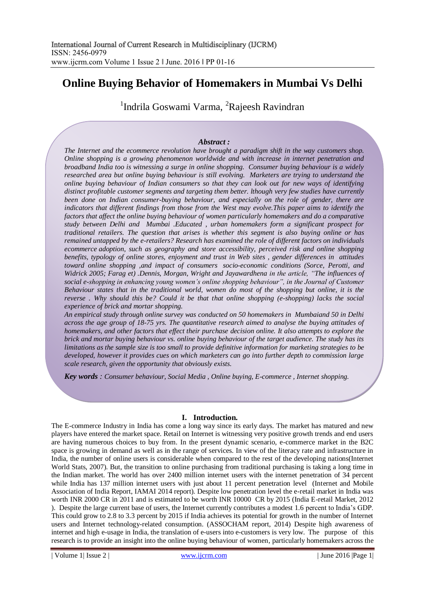# **Online Buying Behavior of Homemakers in Mumbai Vs Delhi**

<sup>1</sup>Indrila Goswami Varma, <sup>2</sup>Rajeesh Ravindran

### *Abstract :*

*The Internet and the ecommerce revolution have brought a paradigm shift in the way customers shop. Online shopping is a growing phenomenon worldwide and with increase in internet penetration and broadband India too is witnessing a surge in online shopping. Consumer buying behaviour is a widely researched area but online buying behaviour is still evolving. Marketers are trying to understand the online buying behaviour of Indian consumers so that they can look out for new ways of identifying distinct profitable customer segments and targeting them better. lthough very few studies have currently been done on Indian consumer-buying behaviour, and especially on the role of gender, there are indicators that different findings from those from the West may evolve.This paper aims to identify the factors that affect the online buying behaviour of women particularly homemakers and do a comparative study between Delhi and Mumbai .Educated , urban homemakers form a significant prospect for traditional retailers. The question that arises is whether this segment is also buying online or has remained untapped by the e-retailers? Research has examined the role of different factors on individuals ecommerce adoption, such as geography and store accessibility, perceived risk and online shopping benefits, typology of online stores, enjoyment and trust in Web sites , gender differences in attitudes toward online shopping ,and impact of consumers socio-economic conditions (Sorce, Perotti, and Widrick 2005; Farag et) .Dennis, Morgan, Wright and Jayawardhena in the article, "The influences of social e-shopping in enhancing young women"s online shopping behaviour", in the Journal of Customer Behaviour states that in the traditional world, women do most of the shopping but online, it is the reverse . Why should this be? Could it be that that online shopping (e-shopping) lacks the social experience of brick and mortar shopping.*

*An empirical study through online survey was conducted on 50 homemakers in Mumbaiand 50 in Delhi across the age group of 18-75 yrs. The quantitative research aimed to analyse the buying attitudes of homemakers, and other factors that effect their purchase decision online. It also attempts to explore the brick and mortar buying behaviour vs. online buying behaviour of the target audience. The study has its limitations as the sample size is too small to provide definitive information for marketing strategies to be developed, however it provides cues on which marketers can go into further depth to commission large scale research, given the opportunity that obviously exists.*

*Key words : Consumer behaviour, Social Media , Online buying, E-commerce , Internet shopping.*

### **I. Introduction.**

The E-commerce Industry in India has come a long way since its early days. The market has matured and new players have entered the market space. Retail on Internet is witnessing very positive growth trends and end users are having numerous choices to buy from. In the present dynamic scenario, e-commerce market in the B2C space is growing in demand as well as in the range of services. In view of the literacy rate and infrastructure in India, the number of online users is considerable when compared to the rest of the developing nations(Internet World Stats, 2007). But, the transition to online purchasing from traditional purchasing is taking a long time in the Indian market. The world has over 2400 million internet users with the internet penetration of 34 percent while India has 137 million internet users with just about 11 percent penetration level (Internet and Mobile Association of India Report, IAMAI 2014 report). Despite low penetration level the e-retail market in India was worth INR 2000 CR in 2011 and is estimated to be worth INR 10000 CR by 2015 (India E-retail Market, 2012 ). Despite the large current base of users, the Internet currently contributes a modest 1.6 percent to India"s GDP. This could grow to 2.8 to 3.3 percent by 2015 if India achieves its potential for growth in the number of Internet users and Internet technology-related consumption. (ASSOCHAM report, 2014) Despite high awareness of internet and high e-usage in India, the translation of e-users into e-customers is very low. The purpose of this research is to provide an insight into the online buying behaviour of women, particularly homemakers across the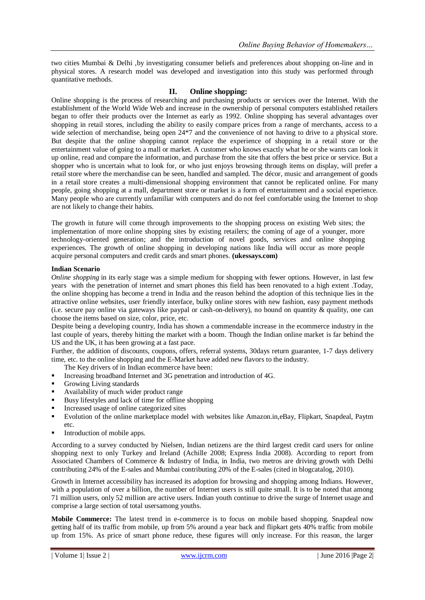two cities Mumbai & Delhi ,by investigating consumer beliefs and preferences about shopping on-line and in physical stores. A research model was developed and investigation into this study was performed through quantitative methods.

### **II. Online shopping:**

Online shopping is the process of researching and purchasing products or services over the Internet. With the establishment of the World Wide Web and increase in the ownership of personal computers established retailers began to offer their products over the Internet as early as 1992. Online shopping has several advantages over shopping in retail stores, including the ability to easily compare prices from a range of merchants, access to a wide selection of merchandise, being open  $24*7$  and the convenience of not having to drive to a physical store. But despite that the online shopping cannot replace the experience of shopping in a retail store or the entertainment value of going to a mall or market. A customer who knows exactly what he or she wants can look it up online, read and compare the information, and purchase from the site that offers the best price or service. But a shopper who is uncertain what to look for, or who just enjoys browsing through items on display, will prefer a retail store where the merchandise can be seen, handled and sampled. The décor, music and arrangement of goods in a retail store creates a multi-dimensional shopping environment that cannot be replicated online. For many people, going shopping at a mall, department store or market is a form of entertainment and a social experience. Many people who are currently unfamiliar with computers and do not feel comfortable using the Internet to shop are not likely to change their habits.

The growth in future will come through improvements to the shopping process on existing Web sites; the implementation of more online shopping sites by existing retailers; the coming of age of a younger, more technology-oriented generation; and the introduction of novel goods, services and online shopping experiences. The growth of online shopping in developing nations like India will occur as more people acquire personal computers and credit cards and smart phones. **(ukessays.com)**

### **Indian Scenario**

*Online shopping* in its early stage was a simple medium for shopping with fewer options. However, in last few years with the penetration of internet and smart phones this field has been renovated to a high extent .Today, the online shopping has become a trend in India and the reason behind the adoption of this technique lies in the attractive online websites, user friendly interface, bulky online stores with new fashion, easy payment methods (i.e. secure pay online via gateways like paypal or cash-on-delivery), no bound on quantity & quality, one can choose the items based on size, color, price, etc.

Despite being a developing country, India has shown a commendable increase in the ecommerce industry in the last couple of years, thereby hitting the market with a boom. Though the Indian online market is far behind the US and the UK, it has been growing at a fast pace.

Further, the addition of discounts, coupons, offers, referral systems, 30days return guarantee, 1-7 days delivery time, etc. to the online shopping and the E-Market have added new flavors to the industry.

The Key drivers of in Indian ecommerce have been:

- Increasing broadband Internet and 3G penetration and introduction of 4G.
- Growing Living standards
- Availability of much wider product range
- Busy lifestyles and lack of time for offline shopping
- Increased usage of online categorized sites
- Evolution of the online marketplace model with websites like Amazon.in,eBay, Flipkart, Snapdeal, Paytm etc.
- Introduction of mobile apps.

According to a survey conducted by Nielsen, Indian netizens are the third largest credit card users for online shopping next to only Turkey and Ireland (Achille 2008; Express India 2008). According to report from Associated Chambers of Commerce & Industry of India, in India, two metros are driving growth with Delhi contributing 24% of the E-sales and Mumbai contributing 20% of the E-sales (cited in blogcatalog, 2010).

Growth in Internet accessibility has increased its adoption for browsing and shopping among Indians. However, with a population of over a billion, the number of Internet users is still quite small. It is to be noted that among 71 million users, only 52 million are active users. Indian youth continue to drive the surge of Internet usage and comprise a large section of total usersamong youths.

**Mobile Commerce:** The latest trend in e-commerce is to focus on mobile based shopping. Snapdeal now getting half of its traffic from mobile, up from 5% around a year back and flipkart gets 40% traffic from mobile up from 15%. As price of smart phone reduce, these figures will only increase. For this reason, the larger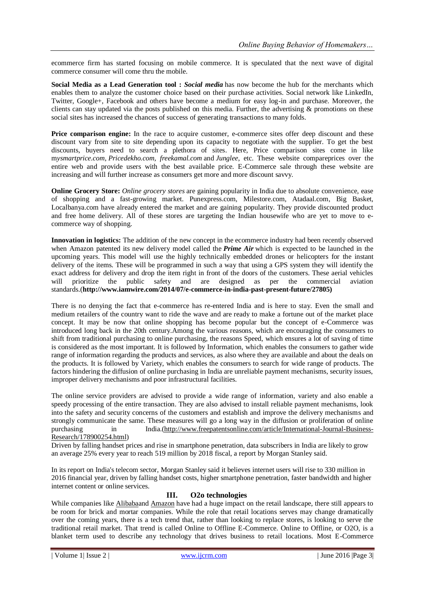ecommerce firm has started focusing on mobile commerce. It is speculated that the next wave of digital commerce consumer will come thru the mobile.

**Social Media as a Lead Generation tool :** *Social media* has now become the hub for the merchants which enables them to analyze the customer choice based on their purchase activities. Social network like LinkedIn, Twitter, Google+, Facebook and others have become a medium for easy log-in and purchase. Moreover, the clients can stay updated via the posts published on this media. Further, the advertising & promotions on these social sites has increased the chances of success of generating transactions to many folds.

**Price comparison engine:** In the race to acquire customer, e-commerce sites offer deep discount and these discount vary from site to site depending upon its capacity to negotiate with the supplier. To get the best discounts, buyers need to search a plethora of sites. Here, Price comparison sites come in like m*ysmartprice.com*, *Pricedekho.com, freekamal.com* and *Junglee*, etc. These website compareprices over the entire web and provide users with the best available price. E-Commerce sale through these website are increasing and will further increase as consumers get more and more discount savvy.

**Online Grocery Store:** *Online grocery stores* are gaining popularity in India due to absolute convenience, ease of shopping and a fast-growing market. Punexpress.com, Milestore.com, Atadaal.com, Big Basket, Localbanya.com have already entered the market and are gaining popularity. They provide discounted product and free home delivery. All of these stores are targeting the Indian housewife who are yet to move to ecommerce way of shopping.

**Innovation in logistics:** The addition of the new concept in the ecommerce industry had been recently observed when Amazon patented its new delivery model called the *Prime Air* which is expected to be launched in the upcoming years. This model will use the highly technically embedded drones or helicopters for the instant delivery of the items. These will be programmed in such a way that using a GPS system they will identify the exact address for delivery and drop the item right in front of the doors of the customers. These aerial vehicles will prioritize the public safety and are designed as per the commercial aviation standards.(**http://www.iamwire.com/2014/07/e-commerce-in-india-past-present-future/27805)**

There is no denying the fact that e-commerce has re-entered India and is here to stay. Even the small and medium retailers of the country want to ride the wave and are ready to make a fortune out of the market place concept. It may be now that online shopping has become popular but the concept of e-Commerce was introduced long back in the 20th century.Among the various reasons, which are encouraging the consumers to shift from traditional purchasing to online purchasing, the reasons Speed, which ensures a lot of saving of time is considered as the most important. It is followed by Information, which enables the consumers to gather wide range of information regarding the products and services, as also where they are available and about the deals on the products. It is followed by Variety, which enables the consumers to search for wide range of products. The factors hindering the diffusion of online purchasing in India are unreliable payment mechanisms, security issues, improper delivery mechanisms and poor infrastructural facilities.

The online service providers are advised to provide a wide range of information, variety and also enable a speedy processing of the entire transaction. They are also advised to install reliable payment mechanisms, look into the safety and security concerns of the customers and establish and improve the delivery mechanisms and strongly communicate the same. These measures will go a long way in the diffusion or proliferation of online purchasing in India.[\(http://www.freepatentsonline.com/article/International-Journal-Business-](http://www.freepatentsonline.com/article/International-Journal-Business-Research/178900254.html)[Research/178900254.html\)](http://www.freepatentsonline.com/article/International-Journal-Business-Research/178900254.html)

Driven by falling handset prices and rise in smartphone penetration, data subscribers in India are likely to grow an average 25% every year to reach 519 million by 2018 fiscal, a report by Morgan Stanley said.

In its report on India's telecom sector, Morgan Stanley said it believes internet users will rise to 330 million in 2016 financial year, driven by falling handset costs, higher smartphone penetration, faster bandwidth and higher internet content or online services.

## **III. O2o technologies**

While companies like [Alibabaa](http://newtech.about.com/od/Enterprise-Technology/fl/Tech-Company-Profile-Alibaba.htm)nd [Amazon](http://publishing.about.com/od/BooksellersAndBookselling/p/Amazon-Com-Online-Retailer-On-The-Forefront-Of-Bookselling-And-Publishing.htm) have had a huge impact on the retail landscape, there still appears to be room for brick and mortar companies. While the role that retail locations serves may change dramatically over the coming years, there is a tech trend that, rather than looking to replace stores, is looking to serve the traditional retail market. That trend is called Online to Offline E-Commerce. Online to Offline, or O2O, is a blanket term used to describe any technology that drives business to retail locations. Most E-Commerce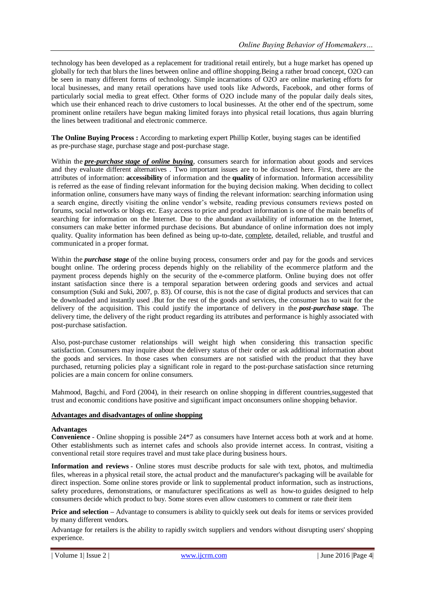technology has been developed as a replacement for traditional retail entirely, but a huge market has opened up globally for tech that blurs the lines between online and offline shopping.Being a rather broad concept, O2O can be seen in many different forms of technology. Simple incarnations of O2O are online marketing efforts for local businesses, and many retail operations have used tools like Adwords, Facebook, and other forms of particularly social media to great effect. Other forms of O2O include many of the popular daily deals sites, which use their enhanced reach to drive customers to local businesses. At the other end of the spectrum, some prominent online retailers have begun making limited forays into physical retail locations, thus again blurring the lines between traditional and electronic commerce.

**The Online Buying Process :** According to marketing expert Phillip Kotler, buying stages can be identified as pre-purchase stage, purchase stage and post-purchase stage.

Within the *pre-purchase stage of online buying*, consumers search for information about goods and services and they evaluate different alternatives . Two important issues are to be discussed here. First, there are the attributes of information: **accessibility** of information and the **quality** of information. Information accessibility is referred as the ease of finding relevant information for the buying decision making. When deciding to collect information online, consumers have many ways of finding the relevant information: searching information using a search engine, directly visiting the online vendor"s website, reading previous consumers reviews posted on forums, social networks or blogs etc. Easy access to price and product information is one of the main benefits of searching for information on the Internet. Due to the abundant availability of information on the Internet, consumers can make better informed purchase decisions. But abundance of online information does not imply quality. Quality information has been defined as being up-to-date, complete, detailed, reliable, and trustful and communicated in a proper format.

Within the *purchase stage* of the online buying process, consumers order and pay for the goods and services bought online. The ordering process depends highly on the reliability of the ecommerce platform and the payment process depends highly on the security of the e-commerce platform. Online buying does not offer instant satisfaction since there is a temporal separation between ordering goods and services and actual consumption (Suki and Suki, 2007, p. 83). Of course, this is not the case of digital products and services that can be downloaded and instantly used .But for the rest of the goods and services, the consumer has to wait for the delivery of the acquisition. This could justify the importance of delivery in the *post-purchase stage*. The delivery time, the delivery of the right product regarding its attributes and performance is highly associated with post-purchase satisfaction.

Also, post-purchase customer relationships will weight high when considering this transaction specific satisfaction. Consumers may inquire about the delivery status of their order or ask additional information about the goods and services. In those cases when consumers are not satisfied with the product that they have purchased, returning policies play a significant role in regard to the post-purchase satisfaction since returning policies are a main concern for online consumers.

Mahmood, Bagchi, and Ford (2004), in their research on online shopping in different countries,suggested that trust and economic conditions have positive and significant impact onconsumers online shopping behavior.

### **Advantages and disadvantages of online shopping**

#### **Advantages**

**Convenience** - Online shopping is possible 24\*7 as consumers have Internet access both at work and at home. Other establishments such as internet cafes and schools also provide internet access. In contrast, visiting a conventional retail store requires travel and must take place during business hours.

**Information and reviews** - Online stores must describe products for sale with text, photos, and multimedia files, whereas in a physical retail store, the actual product and the manufacturer's packaging will be available for direct inspection. Some online stores provide or link to supplemental product information, such as instructions, safety procedures, demonstrations, or manufacturer specifications as well as how-to guides designed to help consumers decide which product to buy. Some stores even allow customers to comment or rate their item

**Price and selection –** Advantage to consumers is ability to quickly seek out deals for items or services provided by many different vendors.

Advantage for retailers is the ability to rapidly switch suppliers and vendors without disrupting users' shopping experience.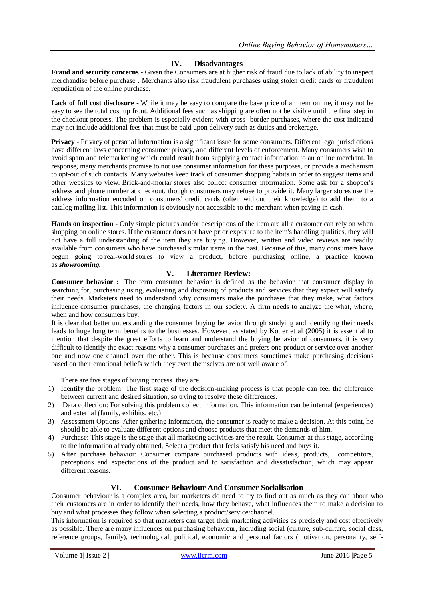## **IV. Disadvantages**

**Fraud and security concerns** - Given the Consumers are at higher risk of fraud due to lack of ability to inspect merchandise before purchase . Merchants also risk fraudulent purchases using stolen credit cards or fraudulent repudiation of the online purchase.

**Lack of full cost disclosure -** While it may be easy to compare the base price of an item online, it may not be easy to see the total cost up front. Additional fees such as shipping are often not be visible until the final step in the checkout process. The problem is especially evident with cross- border purchases, where the cost indicated may not include additional fees that must be paid upon delivery such as duties and brokerage.

**Privacy -** Privacy of personal information is a significant issue for some consumers. Different legal jurisdictions have different laws concerning consumer privacy, and different levels of enforcement. Many consumers wish to avoid spam and telemarketing which could result from supplying contact information to an online merchant. In response, many merchants promise to not use consumer information for these purposes, or provide a mechanism to opt-out of such contacts. Many websites keep track of consumer shopping habits in order to suggest items and other websites to view. Brick-and-mortar stores also collect consumer information. Some ask for a shopper's address and phone number at checkout, though consumers may refuse to provide it. Many larger stores use the address information encoded on consumers' credit cards (often without their knowledge) to add them to a catalog mailing list. This information is obviously not accessible to the merchant when paying in cash..

**Hands on inspection -** Only simple pictures and/or descriptions of the item are all a customer can rely on when shopping on online stores. If the customer does not have prior exposure to the item's handling qualities, they will not have a full understanding of the item they are buying. However, written and video reviews are readily available from consumers who have purchased similar items in the past. Because of this, many consumers have begun going to real-world stores to view a product, before purchasing online, a practice known as *showrooming.*

## **V. Literature Review:**

**Consumer behavior :** The term consumer behavior is defined as the behavior that consumer display in searching for, purchasing using, evaluating and disposing of products and services that they expect will satisfy their needs. Marketers need to understand why consumers make the purchases that they make, what factors influence consumer purchases, the changing factors in our society. A firm needs to analyze the what, where, when and how consumers buy.

It is clear that better understanding the consumer buying behavior through studying and identifying their needs leads to huge long term benefits to the businesses. However, as stated by Kotler et al (2005) it is essential to mention that despite the great efforts to learn and understand the buying behavior of consumers, it is very difficult to identify the exact reasons why a consumer purchases and prefers one product or service over another one and now one channel over the other. This is because consumers sometimes make purchasing decisions based on their emotional beliefs which they even themselves are not well aware of.

There are five stages of buying process .they are.

- 1) Identify the problem: The first stage of the decision-making process is that people can feel the difference between current and desired situation, so trying to resolve these differences.
- 2) Data collection: For solving this problem collect information. This information can be internal (experiences) and external (family, exhibits, etc.)
- 3) Assessment Options: After gathering information, the consumer is ready to make a decision. At this point, he should be able to evaluate different options and choose products that meet the demands of him.
- 4) Purchase: This stage is the stage that all marketing activities are the result. Consumer at this stage, according to the information already obtained, Select a product that feels satisfy his need and buys it.
- 5) After purchase behavior: Consumer compare purchased products with ideas, products, competitors, perceptions and expectations of the product and to satisfaction and dissatisfaction, which may appear different reasons.

## **VI. Consumer Behaviour And Consumer Socialisation**

Consumer behaviour is a complex area, but marketers do need to try to find out as much as they can about who their customers are in order to identify their needs, how they behave, what influences them to make a decision to buy and what processes they follow when selecting a product/service/channel.

This information is required so that marketers can target their marketing activities as precisely and cost effectively as possible. There are many influences on purchasing behaviour, including social (culture, sub-culture, social class, reference groups, family), technological, political, economic and personal factors (motivation, personality, self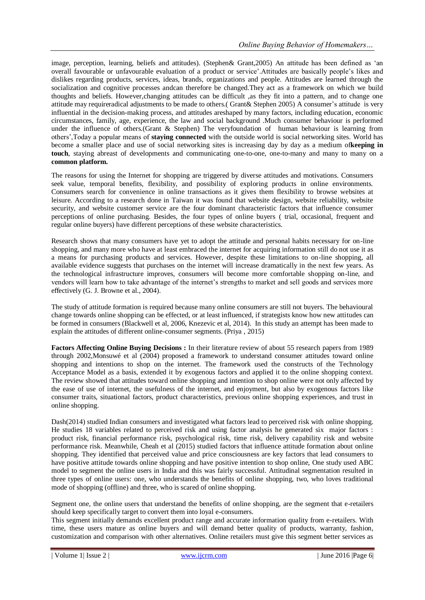image, perception, learning, beliefs and attitudes). (Stephen& Grant,2005) An attitude has been defined as "an overall favourable or unfavourable evaluation of a product or service".Attitudes are basically people"s likes and dislikes regarding products, services, ideas, brands, organizations and people. Attitudes are learned through the socialization and cognitive processes andcan therefore be changed.They act as a framework on which we build thoughts and beliefs. However,changing attitudes can be difficult ,as they fit into a pattern, and to change one attitude may requireradical adjustments to be made to others.( Grant& Stephen 2005) A consumer"s attitude is very influential in the decision-making process, and attitudes areshaped by many factors, including education, economic circumstances, family, age, experience, the law and social background .Much consumer behaviour is performed under the influence of others.(Grant & Stephen) The veryfoundation of human behaviour is learning from others",Today a popular means of **staying connected** with the outside world is social networking sites. World has become a smaller place and use of social networking sites is increasing day by day as a medium of**keeping in touch**, staying abreast of developments and communicating one-to-one, one-to-many and many to many on a **common platform.**

The reasons for using the Internet for shopping are triggered by diverse attitudes and motivations. Consumers seek value, temporal benefits, flexibility, and possibility of exploring products in online environments. Consumers search for convenience in online transactions as it gives them flexibility to browse websites at leisure. According to a research done in Taiwan it was found that website design, website reliability, website security, and website customer service are the four dominant characteristic factors that influence consumer perceptions of online purchasing. Besides, the four types of online buyers ( trial, occasional, frequent and regular online buyers) have different perceptions of these website characteristics.

Research shows that many consumers have yet to adopt the attitude and personal habits necessary for on-line shopping, and many more who have at least embraced the internet for acquiring information still do not use it as a means for purchasing products and services. However, despite these limitations to on-line shopping, all available evidence suggests that purchases on the internet will increase dramatically in the next few years. As the technological infrastructure improves, consumers will become more comfortable shopping on-line, and vendors will learn how to take advantage of the internet"s strengths to market and sell goods and services more effectively (G. J. Browne et al., 2004).

The study of attitude formation is required because many online consumers are still not buyers. The behavioural change towards online shopping can be effected, or at least influenced, if strategists know how new attitudes can be formed in consumers (Blackwell et al, 2006, Knezevic et al, 2014). In this study an attempt has been made to explain the attitudes of different online-consumer segments. (Priya , 2015)

**Factors Affecting Online Buying Decisions :** In their literature review of about 55 research papers from 1989 through 2002,Monsuwé et al (2004) proposed a framework to understand consumer attitudes toward online shopping and intentions to shop on the internet. The framework used the constructs of the Technology Acceptance Model as a basis, extended it by exogenous factors and applied it to the online shopping context. The review showed that attitudes toward online shopping and intention to shop online were not only affected by the ease of use of internet, the usefulness of the internet, and enjoyment, but also by exogenous factors like consumer traits, situational factors, product characteristics, previous online shopping experiences, and trust in online shopping.

Dash(2014) studied Indian consumers and investigated what factors lead to perceived risk with online shopping. He studies 18 variables related to perceived risk and using factor analysis he generated six major factors : product risk, financial performance risk, psychological risk, time risk, delivery capability risk and website performance risk. Meanwhile, Cheah et al (2015) studied factors that influence attitude formation about online shopping. They identified that perceived value and price consciousness are key factors that lead consumers to have positive attitude towards online shopping and have positive intention to shop online, One study used ABC model to segment the online users in India and this was fairly successful. Attitudinal segmentation resulted in three types of online users: one, who understands the benefits of online shopping, two, who loves traditional mode of shopping (offline) and three, who is scared of online shopping.

Segment one, the online users that understand the benefits of online shopping, are the segment that e-retailers should keep specifically target to convert them into loyal e-consumers.

This segment initially demands excellent product range and accurate information quality from e-retailers. With time, these users mature as online buyers and will demand better quality of products, warranty, fashion, customization and comparison with other alternatives. Online retailers must give this segment better services as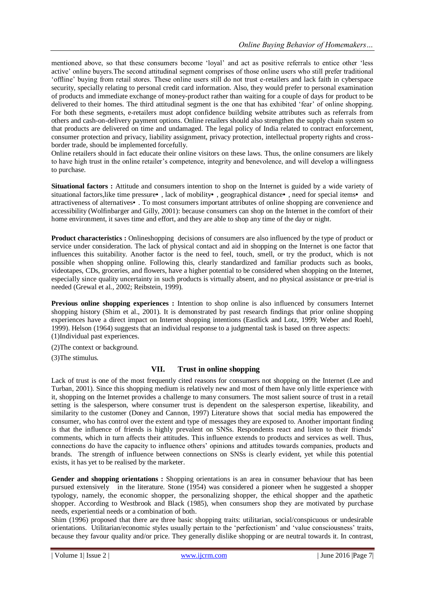mentioned above, so that these consumers become "loyal" and act as positive referrals to entice other "less active" online buyers.The second attitudinal segment comprises of those online users who still prefer traditional "offline" buying from retail stores. These online users still do not trust e-retailers and lack faith in cyberspace security, specially relating to personal credit card information. Also, they would prefer to personal examination of products and immediate exchange of money-product rather than waiting for a couple of days for product to be delivered to their homes. The third attitudinal segment is the one that has exhibited "fear" of online shopping. For both these segments, e-retailers must adopt confidence building website attributes such as referrals from others and cash-on-delivery payment options. Online retailers should also strengthen the supply chain system so that products are delivered on time and undamaged. The legal policy of India related to contract enforcement, consumer protection and privacy, liability assignment, privacy protection, intellectual property rights and crossborder trade, should be implemented forcefully.

Online retailers should in fact educate their online visitors on these laws. Thus, the online consumers are likely to have high trust in the online retailer"s competence, integrity and benevolence, and will develop a willingness to purchase.

**Situational factors :** Attitude and consumers intention to shop on the Internet is guided by a wide variety of situational factors,like time pressure•, lack of mobility•, geographical distance•, need for special items• and attractiveness of alternatives•. To most consumers important attributes of online shopping are convenience and accessibility (Wolfinbarger and Gilly, 2001): because consumers can shop on the Internet in the comfort of their home environment, it saves time and effort, and they are able to shop any time of the day or night.

**Product characteristics :** Onlineshopping decisions of consumers are also influenced by the type of product or service under consideration. The lack of physical contact and aid in shopping on the Internet is one factor that influences this suitability. Another factor is the need to feel, touch, smell, or try the product, which is not possible when shopping online. Following this, clearly standardized and familiar products such as books, videotapes, CDs, groceries, and flowers, have a higher potential to be considered when shopping on the Internet, especially since quality uncertainty in such products is virtually absent, and no physical assistance or pre-trial is needed (Grewal et al., 2002; Reibstein, 1999).

**Previous online shopping experiences :** Intention to shop online is also influenced by consumers Internet shopping history (Shim et al., 2001). It is demonstrated by past research findings that prior online shopping experiences have a direct impact on Internet shopping intentions (Eastlick and Lotz, 1999; Weber and Roehl, 1999). Helson (1964) suggests that an individual response to a judgmental task is based on three aspects: (1)Individual past experiences.

(2)The context or background.

(3)The stimulus.

## **VII. Trust in online shopping**

Lack of trust is one of the most frequently cited reasons for consumers not shopping on the Internet (Lee and Turban, 2001). Since this shopping medium is relatively new and most of them have only little experience with it, shopping on the Internet provides a challenge to many consumers. The most salient source of trust in a retail setting is the salesperson, where consumer trust is dependent on the salesperson expertise, likeability, and similarity to the customer (Doney and Cannon, 1997) Literature shows that social media has empowered the consumer, who has control over the extent and type of messages they are exposed to. Another important finding is that the influence of friends is highly prevalent on SNSs. Respondents react and listen to their friends" comments, which in turn affects their attitudes. This influence extends to products and services as well. Thus, connections do have the capacity to influence others" opinions and attitudes towards companies, products and brands. The strength of influence between connections on SNSs is clearly evident, yet while this potential exists, it has yet to be realised by the marketer.

**Gender and shopping orientations :** Shopping orientations is an area in consumer behaviour that has been pursued extensively in the literature. Stone (1954) was considered a pioneer when he suggested a shopper typology, namely, the economic shopper, the personalizing shopper, the ethical shopper and the apathetic shopper. According to Westbrook and Black (1985), when consumers shop they are motivated by purchase needs, experiential needs or a combination of both.

Shim (1996) proposed that there are three basic shopping traits: utilitarian, social/conspicuous or undesirable orientations. Utilitarian/economic styles usually pertain to the "perfectionism" and "value consciousness" traits, because they favour quality and/or price. They generally dislike shopping or are neutral towards it. In contrast,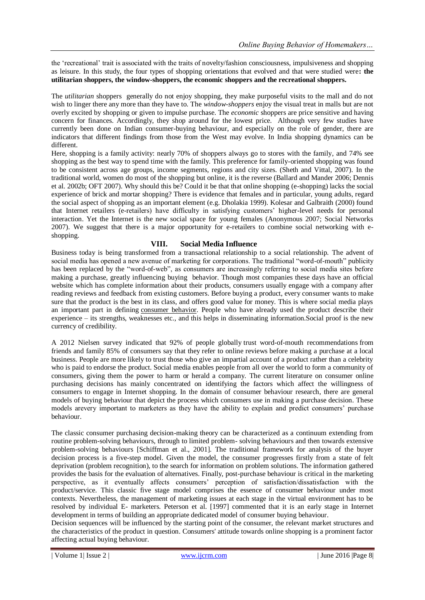the "recreational" trait is associated with the traits of novelty/fashion consciousness, impulsiveness and shopping as leisure. In this study, the four types of shopping orientations that evolved and that were studied were**: the utilitarian shoppers, the window-shoppers, the economic shoppers and the recreational shoppers.**

The *utilitarian* shoppers generally do not enjoy shopping, they make purposeful visits to the mall and do not wish to linger there any more than they have to. The *window-shoppers* enjoy the visual treat in malls but are not overly excited by shopping or given to impulse purchase. The *economic* shoppers are price sensitive and having concern for finances. Accordingly, they shop around for the lowest price. Although very few studies have currently been done on Indian consumer-buying behaviour, and especially on the role of gender, there are indicators that different findings from those from the West may evolve. In India shopping dynamics can be different.

Here, shopping is a family activity: nearly 70% of shoppers always go to stores with the family, and 74% see shopping as the best way to spend time with the family. This preference for family-oriented shopping was found to be consistent across age groups, income segments, regions and city sizes. (Sheth and Vittal, 2007). In the traditional world, women do most of the shopping but online, it is the reverse (Ballard and Mander 2006; Dennis et al. 2002b; OFT 2007). Why should this be? Could it be that that online shopping (e-shopping) lacks the social experience of brick and mortar shopping? There is evidence that females and in particular, young adults, regard the social aspect of shopping as an important element (e.g. Dholakia 1999). Kolesar and Galbraith (2000) found that Internet retailers (e-retailers) have difficulty in satisfying customers" higher-level needs for personal interaction. Yet the Internet is the new social space for young females (Anonymous 2007; Social Networks 2007). We suggest that there is a major opportunity for e-retailers to combine social networking with eshopping.

## **VIII. Social Media Influence**

Business today is being transformed from a transactional relationship to a social relationship. The advent of social media has opened a new avenue of marketing for corporations. The traditional "word-of-mouth" publicity has been replaced by the "word-of-web", as consumers are increasingly referring to social media sites before making a purchase, greatly [influencing](http://www.torbenrick.eu/blog/business-improvement/infographic-the-consumer-decision-making-process-has-shifted/) [buying behavior.](http://www.torbenrick.eu/blog/business-improvement/infographic-the-consumer-decision-making-process-has-shifted/) Though most companies these days have an official website which has complete information about their products, consumers usually engage with a company after reading reviews and feedback from existing customers. Before buying a product, every consumer wants to make sure that the product is the best in its class, and offers good value for money. This is where social media plays an important part in defining [consumer behavior.](http://www.torbenrick.eu/blog/strategy/customer-loyalty-is-disappearing-in-a-hurry/) People who have already used the product describe their experience – its strengths, weaknesses etc., and this helps in disseminating information.Social proof is the new currency of credibility.

A 2012 Nielsen survey indicated that 92% of people globally [trust word-of-mouth recommendations](http://www.nielsen.com/us/en/press-room/2012/nielsen-global-consumers-trust-in-earned-advertising-grows.html) from friends and family 85% of consumers say that they [refer to online reviews](http://searchengineland.com/2013-study-79-of-consumers-trust-online-reviews-as-much-as-personal-recommendations-164565) before making a purchase at a local business. People are more likely to trust those who give an impartial account of a product rather than a celebrity who is paid to endorse the product. Social media enables people from all over the world to form a community of consumers, giving them the power to harm or herald a company. The current literature on consumer online purchasing decisions has mainly concentrated on identifying the factors which affect the willingness of consumers to engage in Internet shopping. In the domain of consumer behaviour research, there are general models of buying behaviour that depict the process which consumers use in making a purchase decision. These models arevery important to marketers as they have the ability to explain and predict consumers" purchase behaviour.

The classic consumer purchasing decision-making theory can be characterized as a continuum extending from routine problem-solving behaviours, through to limited problem- solving behaviours and then towards extensive problem-solving behaviours [Schiffman et al., 2001]. The traditional framework for analysis of the buyer decision process is a five-step model. Given the model, the consumer progresses firstly from a state of felt deprivation (problem recognition), to the search for information on problem solutions. The information gathered provides the basis for the evaluation of alternatives. Finally, post-purchase behaviour is critical in the marketing perspective, as it eventually affects consumers" perception of satisfaction/dissatisfaction with the product/service. This classic five stage model comprises the essence of consumer behaviour under most contexts. Nevertheless, the management of marketing issues at each stage in the virtual environment has to be resolved by individual E- marketers. Peterson et al. [1997] commented that it is an early stage in Internet development in terms of building an appropriate dedicated model of consumer buying behaviour.

Decision sequences will be influenced by the starting point of the consumer, the relevant market structures and the characteristics of the product in question. Consumers' attitude towards online shopping is a prominent factor affecting actual buying behaviour.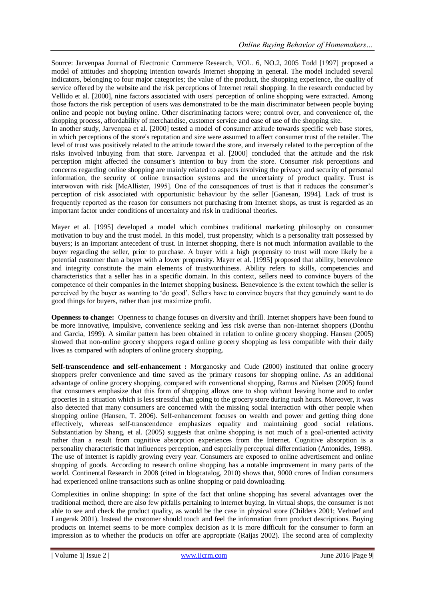Source: Jarvenpaa Journal of Electronic Commerce Research, VOL. 6, NO.2, 2005 Todd [1997] proposed a model of attitudes and shopping intention towards Internet shopping in general. The model included several indicators, belonging to four major categories; the value of the product, the shopping experience, the quality of service offered by the website and the risk perceptions of Internet retail shopping. In the research conducted by Vellido et al. [2000], nine factors associated with users' perception of online shopping were extracted. Among those factors the risk perception of users was demonstrated to be the main discriminator between people buying online and people not buying online. Other discriminating factors were; control over, and convenience of, the shopping process, affordability of merchandise, customer service and ease of use of the shopping site.

In another study, Jarvenpaa et al. [2000] tested a model of consumer attitude towards specific web base stores, in which perceptions of the store's reputation and size were assumed to affect consumer trust of the retailer. The level of trust was positively related to the attitude toward the store, and inversely related to the perception of the risks involved inbuying from that store. Jarvenpaa et al. [2000] concluded that the attitude and the risk perception might affected the consumer's intention to buy from the store. Consumer risk perceptions and concerns regarding online shopping are mainly related to aspects involving the privacy and security of personal information, the security of online transaction systems and the uncertainty of product quality. Trust is interwoven with risk [McAllister, 1995]. One of the consequences of trust is that it reduces the consumer"s perception of risk associated with opportunistic behaviour by the seller [Ganesan, 1994]. Lack of trust is frequently reported as the reason for consumers not purchasing from Internet shops, as trust is regarded as an important factor under conditions of uncertainty and risk in traditional theories.

Mayer et al. [1995] developed a model which combines traditional marketing philosophy on consumer motivation to buy and the trust model. In this model, trust propensity; which is a personality trait possessed by buyers; is an important antecedent of trust. In Internet shopping, there is not much information available to the buyer regarding the seller, prior to purchase. A buyer with a high propensity to trust will more likely be a potential customer than a buyer with a lower propensity. Mayer et al. [1995] proposed that ability, benevolence and integrity constitute the main elements of trustworthiness. Ability refers to skills, competencies and characteristics that a seller has in a specific domain. In this context, sellers need to convince buyers of the competence of their companies in the Internet shopping business. Benevolence is the extent towhich the seller is perceived by the buyer as wanting to "do good". Sellers have to convince buyers that they genuinely want to do good things for buyers, rather than just maximize profit.

**Openness to change:** Openness to change focuses on diversity and thrill. Internet shoppers have been found to be more innovative, impulsive, convenience seeking and less risk averse than non-Internet shoppers (Donthu and Garcia, 1999). A similar pattern has been obtained in relation to online grocery shopping. Hansen (2005) showed that non-online grocery shoppers regard online grocery shopping as less compatible with their daily lives as compared with adopters of online grocery shopping.

**Self-transcendence and self-enhancement :** Morganosky and Cude (2000) instituted that online grocery shoppers prefer convenience and time saved as the primary reasons for shopping online. As an additional advantage of online grocery shopping, compared with conventional shopping, Ramus and Nielsen (2005) found that consumers emphasize that this form of shopping allows one to shop without leaving home and to order groceries in a situation which is less stressful than going to the grocery store during rush hours. Moreover, it was also detected that many consumers are concerned with the missing social interaction with other people when shopping online (Hansen, T. 2006). Self-enhancement focuses on wealth and power and getting thing done effectively, whereas self-transcendence emphasizes equality and maintaining good social relations. Substantiation by Shang, et al. (2005) suggests that online shopping is not much of a goal-oriented activity rather than a result from cognitive absorption experiences from the Internet. Cognitive absorption is a personality characteristic that influences perception, and especially perceptual differentiation (Antonides, 1998). The use of internet is rapidly growing every year. Consumers are exposed to online advertisement and online shopping of goods. According to research online shopping has a notable improvement in many parts of the world. Continental Research in 2008 (cited in blogcatalog, 2010) shows that, 9000 crores of Indian consumers had experienced online transactions such as online shopping or paid downloading.

Complexities in online shopping: In spite of the fact that online shopping has several advantages over the traditional method, there are also few pitfalls pertaining to internet buying. In virtual shops, the consumer is not able to see and check the product quality, as would be the case in physical store (Childers 2001; Verhoef and Langerak 2001). Instead the customer should touch and feel the information from product descriptions. Buying products on internet seems to be more complex decision as it is more difficult for the consumer to form an impression as to whether the products on offer are appropriate (Raijas 2002). The second area of complexity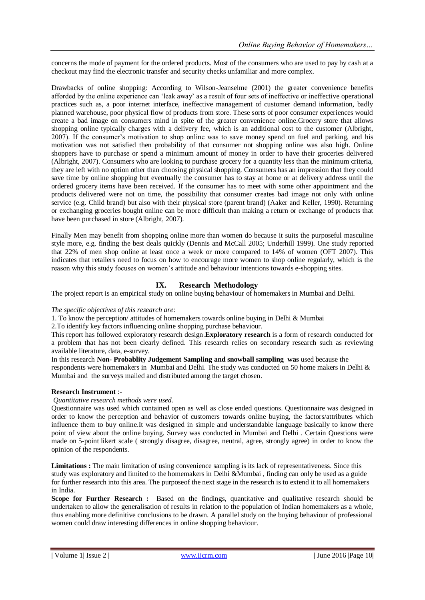concerns the mode of payment for the ordered products. Most of the consumers who are used to pay by cash at a checkout may find the electronic transfer and security checks unfamiliar and more complex.

Drawbacks of online shopping: According to Wilson-Jeanselme (2001) the greater convenience benefits afforded by the online experience can "leak away" as a result of four sets of ineffective or ineffective operational practices such as, a poor internet interface, ineffective management of customer demand information, badly planned warehouse, poor physical flow of products from store. These sorts of poor consumer experiences would create a bad image on consumers mind in spite of the greater convenience online.Grocery store that allows shopping online typically charges with a delivery fee, which is an additional cost to the customer (Albright, 2007). If the consumer"s motivation to shop online was to save money spend on fuel and parking, and his motivation was not satisfied then probability of that consumer not shopping online was also high. Online shoppers have to purchase or spend a minimum amount of money in order to have their groceries delivered (Albright, 2007). Consumers who are looking to purchase grocery for a quantity less than the minimum criteria, they are left with no option other than choosing physical shopping. Consumers has an impression that they could save time by online shopping but eventually the consumer has to stay at home or at delivery address until the ordered grocery items have been received. If the consumer has to meet with some other appointment and the products delivered were not on time, the possibility that consumer creates bad image not only with online service (e.g. Child brand) but also with their physical store (parent brand) (Aaker and Keller, 1990). Returning or exchanging groceries bought online can be more difficult than making a return or exchange of products that have been purchased in store (Albright, 2007).

Finally Men may benefit from shopping online more than women do because it suits the purposeful masculine style more, e.g. finding the best deals quickly (Dennis and McCall 2005; Underhill 1999). One study reported that 22% of men shop online at least once a week or more compared to 14% of women (OFT 2007). This indicates that retailers need to focus on how to encourage more women to shop online regularly, which is the reason why this study focuses on women"s attitude and behaviour intentions towards e-shopping sites.

## **IX. Research Methodology**

The project report is an empirical study on online buying behaviour of homemakers in Mumbai and Delhi.

### *The specific objectives of this research are:*

1. To know the perception/ attitudes of homemakers towards online buying in Delhi & Mumbai

2.To identify key factors influencing online shopping purchase behaviour.

This report has followed exploratory research design.**Exploratory research** is a form of research conducted for a problem that has not been clearly defined. This research relies on secondary research such as reviewing available literature, data, e-survey.

In this research **Non- Probablity Judgement Sampling and snowball sampling was** used because the respondents were homemakers in Mumbai and Delhi. The study was conducted on 50 home makers in Delhi & Mumbai and the surveys mailed and distributed among the target chosen.

### **Research Instrument** :-

*Quantitative research methods were used.*

Questionnaire was used which contained open as well as close ended questions. Questionnaire was designed in order to know the perception and behavior of customers towards online buying, the factors/attributes which influence them to buy online.It was designed in simple and understandable language basically to know there point of view about the online buying. Survey was conducted in Mumbai and Delhi . Certain Questions were made on 5-point likert scale ( strongly disagree, disagree, neutral, agree, strongly agree) in order to know the opinion of the respondents.

**Limitations :** The main limitation of using convenience sampling is its lack of representativeness. Since this study was exploratory and limited to the homemakers in Delhi &Mumbai , finding can only be used as a guide for further research into this area. The purposeof the next stage in the research is to extend it to all homemakers in India.

**Scope for Further Research :** Based on the findings, quantitative and qualitative research should be undertaken to allow the generalisation of results in relation to the population of Indian homemakers as a whole, thus enabling more definitive conclusions to be drawn. A parallel study on the buying behaviour of professional women could draw interesting differences in online shopping behaviour.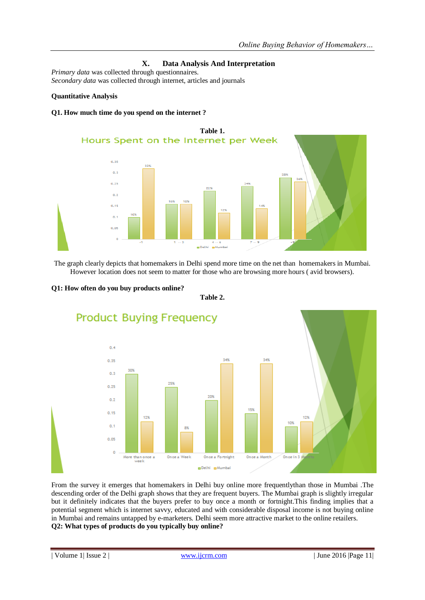## **X. Data Analysis And Interpretation**

*Primary data* was collected through questionnaires. *Secondary data* was collected through internet, articles and journals

## **Quantitative Analysis**

### **Q1. How much time do you spend on the internet ?**



The graph clearly depicts that homemakers in Delhi spend more time on the net than homemakers in Mumbai. However location does not seem to matter for those who are browsing more hours ( avid browsers).



**Q1: How often do you buy products online?**

**Table 2.**

From the survey it emerges that homemakers in Delhi buy online more frequentlythan those in Mumbai .The descending order of the Delhi graph shows that they are frequent buyers. The Mumbai graph is slightly irregular but it definitely indicates that the buyers prefer to buy once a month or fortnight.This finding implies that a potential segment which is internet savvy, educated and with considerable disposal income is not buying online in Mumbai and remains untapped by e-marketers. Delhi seem more attractive market to the online retailers. **Q2: What types of products do you typically buy online?**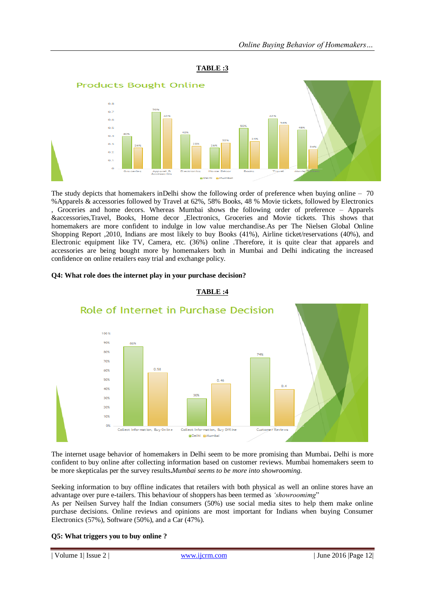



The study depicts that homemakers inDelhi show the following order of preference when buying online – 70 %Apparels & accessories followed by Travel at 62%, 58% Books, 48 % Movie tickets, followed by Electronics

, Groceries and home decors. Whereas Mumbai shows the following order of preference – Apparels &accessories,Travel, Books, Home decor ,Electronics, Groceries and Movie tickets. This shows that homemakers are more confident to indulge in low value merchandise.As per The Nielsen Global Online Shopping Report ,2010, Indians are most likely to buy Books (41%), Airline ticket/reservations (40%), and Electronic equipment like TV, Camera, etc. (36%) online .Therefore, it is quite clear that apparels and accessories are being bought more by homemakers both in Mumbai and Delhi indicating the increased confidence on online retailers easy trial and exchange policy.

**TABLE :4**



### **Q4: What role does the internet play in your purchase decision?**

The internet usage behavior of homemakers in Delhi seem to be more promising than Mumbai**.** Delhi is more confident to buy online after collecting information based on customer reviews. Mumbai homemakers seem to be more skepticalas per the survey results**.***Mumbai seems to be more into showrooming.*

Seeking information to buy offline indicates that retailers with both physical as well an online stores have an advantage over pure e-tailers. This behaviour of shoppers has been termed as *"showroomimg*"

As per Neilsen Survey half the Indian consumers (50%) use social media sites to help them make online purchase decisions. Online reviews and opinions are most important for Indians when buying Consumer Electronics (57%), Software (50%), and a Car (47%).

### **Q5: What triggers you to buy online ?**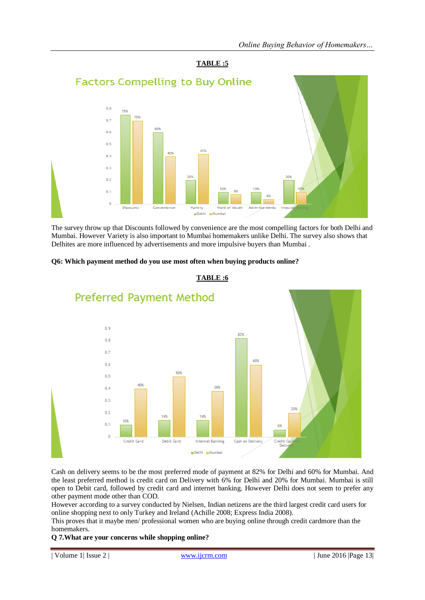

The survey throw up that Discounts followed by convenience are the most compelling factors for both Delhi and Mumbai. However Variety is also important to Mumbai homemakers unlike Delhi. The survey also shows that Delhites are more influenced by advertisements and more impulsive buyers than Mumbai .

### **Q6: Which payment method do you use most often when buying products online?**



## **TABLE :6**

Cash on delivery seems to be the most preferred mode of payment at 82% for Delhi and 60% for Mumbai. And the least preferred method is credit card on Delivery with 6% for Delhi and 20% for Mumbai. Mumbai is still open to Debit card, followed by credit card and internet banking. However Delhi does not seem to prefer any other payment mode other than COD.

However according to a survey conducted by Nielsen, Indian netizens are the third largest credit card users for online shopping next to only Turkey and Ireland (Achille 2008; Express India 2008).

This proves that it maybe men/ professional women who are buying online through credit cardmore than the homemakers.

### **Q 7.What are your concerns while shopping online?**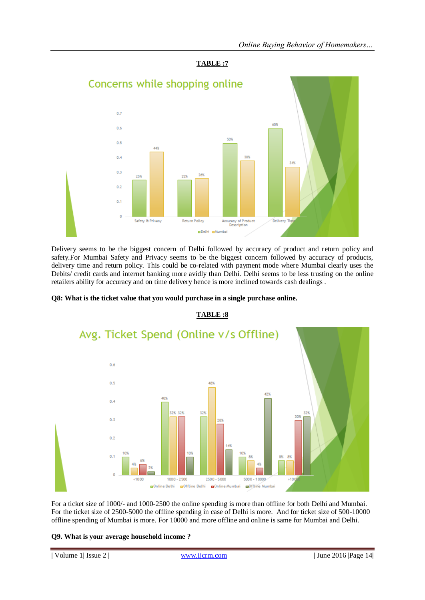



Delivery seems to be the biggest concern of Delhi followed by accuracy of product and return policy and safety.For Mumbai Safety and Privacy seems to be the biggest concern followed by accuracy of products, delivery time and return policy. This could be co-related with payment mode where Mumbai clearly uses the Debits/ credit cards and internet banking more avidly than Delhi. Delhi seems to be less trusting on the online retailers ability for accuracy and on time delivery hence is more inclined towards cash dealings .

### **Q8: What is the ticket value that you would purchase in a single purchase online.**



### **TABLE :8**

For a ticket size of 1000/- and 1000-2500 the online spending is more than offline for both Delhi and Mumbai. For the ticket size of 2500-5000 the offline spending in case of Delhi is more. And for ticket size of 500-10000 offline spending of Mumbai is more. For 10000 and more offline and online is same for Mumbai and Delhi.

### **Q9. What is your average household income ?**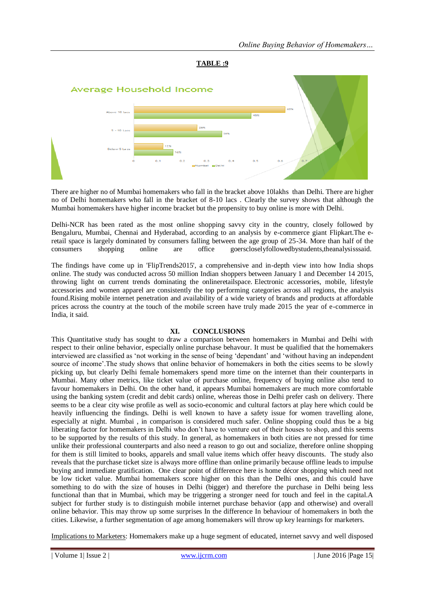



There are higher no of Mumbai homemakers who fall in the bracket above 10lakhs than Delhi. There are higher no of Delhi homemakers who fall in the bracket of 8-10 lacs . Clearly the survey shows that although the Mumbai homemakers have higher income bracket but the propensity to buy online is more with Delhi.

Delhi-NCR has been rated as the most online shopping savvy city in the country, closely followed by Bengaluru, Mumbai, Chennai and Hyderabad, according to an analysis by e-commerce giant Flipkart.The eretail space is largely dominated by consumers falling between the age group of 25-34. More than half of the consumers shopping online are office goerscloselyfollowedbystudents,theanalysisssaid.

The findings have come up in 'FlipTrends2015', a comprehensive and in-depth view into how India shops online. The study was conducted across 50 million Indian shoppers between January 1 and December 14 2015, throwing light on current trends dominating the onlineretailspace. Electronic accessories, mobile, lifestyle accessories and women apparel are consistently the top performing categories across all regions, the analysis found.Rising mobile internet penetration and availability of a wide variety of brands and products at affordable prices across the country at the touch of the mobile screen have truly made 2015 the year of e-commerce in India, it said.

### **XI. CONCLUSIONS**

This Quantitative study has sought to draw a comparison between homemakers in Mumbai and Delhi with respect to their online behavior, especially online purchase behavour. It must be qualified that the homemakers interviewed are classified as "not working in the sense of being "dependant" and "without having an independent source of income".The study shows that online behavior of homemakers in both the cities seems to be slowly picking up, but clearly Delhi female homemakers spend more time on the internet than their counterparts in Mumbai. Many other metrics, like ticket value of purchase online, frequency of buying online also tend to favour homemakers in Delhi. On the other hand, it appears Mumbai homemakers are much more comfortable using the banking system (credit and debit cards) online, whereas those in Delhi prefer cash on delivery. There seems to be a clear city wise profile as well as socio-economic and cultural factors at play here which could be heavily influencing the findings. Delhi is well known to have a safety issue for women travelling alone, especially at night. Mumbai , in comparison is considered much safer. Online shopping could thus be a big liberating factor for homemakers in Delhi who don"t have to venture out of their houses to shop, and this seems to be supported by the results of this study. In general, as homemakers in both cities are not pressed for time unlike their professional counterparts and also need a reason to go out and socialize, therefore online shopping for them is still limited to books, apparels and small value items which offer heavy discounts. The study also reveals that the purchase ticket size is always more offline than online primarily because offline leads to impulse buying and immediate gratification. One clear point of difference here is home décor shopping which need not be low ticket value. Mumbai homemakers score higher on this than the Delhi ones, and this could have something to do with the size of houses in Delhi (bigger) and therefore the purchase in Delhi being less functional than that in Mumbai, which may be triggering a stronger need for touch and feel in the capital.A subject for further study is to distinguish mobile internet purchase behavior (app and otherwise) and overall online behavior. This may throw up some surprises In the difference In behaviour of homemakers in both the cities. Likewise, a further segmentation of age among homemakers will throw up key learnings for marketers.

Implications to Marketers: Homemakers make up a huge segment of educated, internet savvy and well disposed